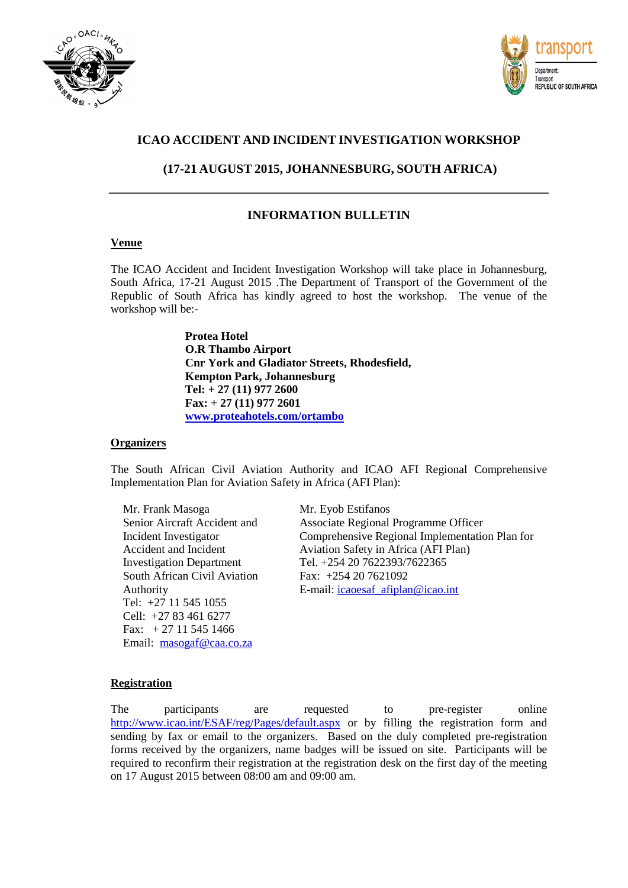



## **ICAO ACCIDENT AND INCIDENT INVESTIGATION WORKSHOP**

## **(17-21 AUGUST 2015, JOHANNESBURG, SOUTH AFRICA)**

### **INFORMATION BULLETIN**

#### **Venue**

The ICAO Accident and Incident Investigation Workshop will take place in Johannesburg, South Africa, 17-21 August 2015 .The Department of Transport of the Government of the Republic of South Africa has kindly agreed to host the workshop. The venue of the workshop will be:-

> **Protea Hotel O.R Thambo Airport Cnr York and Gladiator Streets, Rhodesfield, Kempton Park, Johannesburg Tel: + 27 (11) 977 2600 Fax: + 27 (11) 977 2601 [www.proteahotels.com/ortambo](http://www.proteahotels.com/ortambo)**

#### **Organizers**

The South African Civil Aviation Authority and ICAO AFI Regional Comprehensive Implementation Plan for Aviation Safety in Africa (AFI Plan):

Mr. Frank Masoga Senior Aircraft Accident and Incident Investigator Accident and Incident Investigation Department South African Civil Aviation Authority Tel: +27 11 545 1055 Cell: +27 83 461 6277 Fax: + 27 11 545 1466 Email: [masogaf@caa.co.za](mailto:masogaf@caa.co.za)

Mr. Eyob Estifanos Associate Regional Programme Officer Comprehensive Regional Implementation Plan for Aviation Safety in Africa (AFI Plan) Tel. +254 20 7622393/7622365 Fax: +254 20 7621092 E-mail: [icaoesaf\\_afiplan@icao.int](mailto:icaoesaf_afiplan@icao.int)

#### **Registration**

The participants are requested to pre-register online <http://www.icao.int/ESAF/reg/Pages/default.aspx> or by filling the registration form and sending by fax or email to the organizers. Based on the duly completed pre-registration forms received by the organizers, name badges will be issued on site. Participants will be required to reconfirm their registration at the registration desk on the first day of the meeting on 17 August 2015 between 08:00 am and 09:00 am.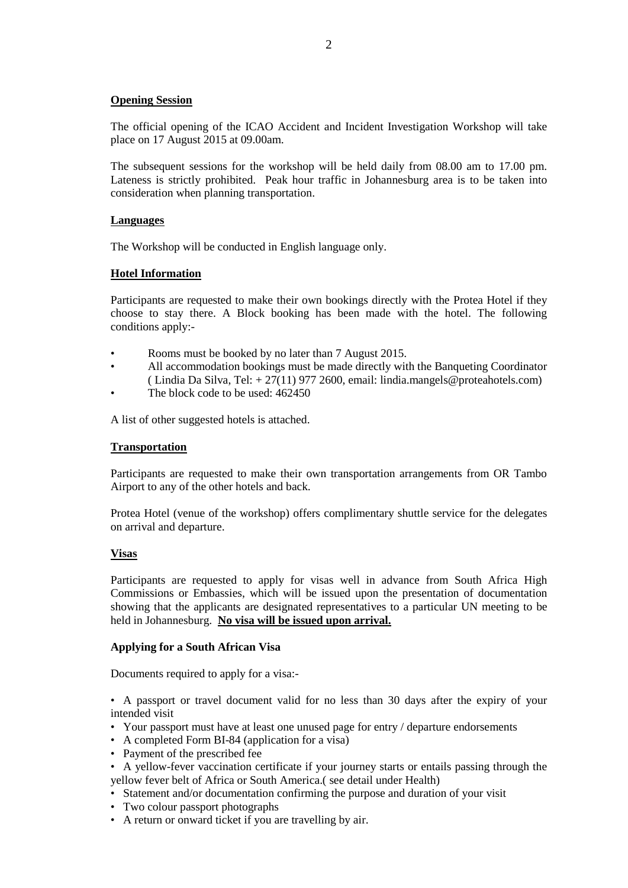#### **Opening Session**

The official opening of the ICAO Accident and Incident Investigation Workshop will take place on 17 August 2015 at 09.00am.

The subsequent sessions for the workshop will be held daily from 08.00 am to 17.00 pm. Lateness is strictly prohibited. Peak hour traffic in Johannesburg area is to be taken into consideration when planning transportation.

#### **Languages**

The Workshop will be conducted in English language only.

#### **Hotel Information**

Participants are requested to make their own bookings directly with the Protea Hotel if they choose to stay there. A Block booking has been made with the hotel. The following conditions apply:-

- Rooms must be booked by no later than 7 August 2015.
- All accommodation bookings must be made directly with the Banqueting Coordinator ( Lindia Da Silva, Tel:  $+27(11)$  977 2600, email: lindia.mangels@proteahotels.com)
- The block code to be used:  $462450$

A list of other suggested hotels is attached.

#### **Transportation**

Participants are requested to make their own transportation arrangements from OR Tambo Airport to any of the other hotels and back.

Protea Hotel (venue of the workshop) offers complimentary shuttle service for the delegates on arrival and departure.

#### **Visas**

Participants are requested to apply for visas well in advance from South Africa High Commissions or Embassies, which will be issued upon the presentation of documentation showing that the applicants are designated representatives to a particular UN meeting to be held in Johannesburg. **No visa will be issued upon arrival.** 

#### **Applying for a South African Visa**

Documents required to apply for a visa:-

• A passport or travel document valid for no less than 30 days after the expiry of your intended visit

- Your passport must have at least one unused page for entry / departure endorsements
- A completed Form BI-84 (application for a visa)
- Payment of the prescribed fee
- A yellow-fever vaccination certificate if your journey starts or entails passing through the yellow fever belt of Africa or South America.( see detail under Health)
- Statement and/or documentation confirming the purpose and duration of your visit
- Two colour passport photographs
- A return or onward ticket if you are travelling by air.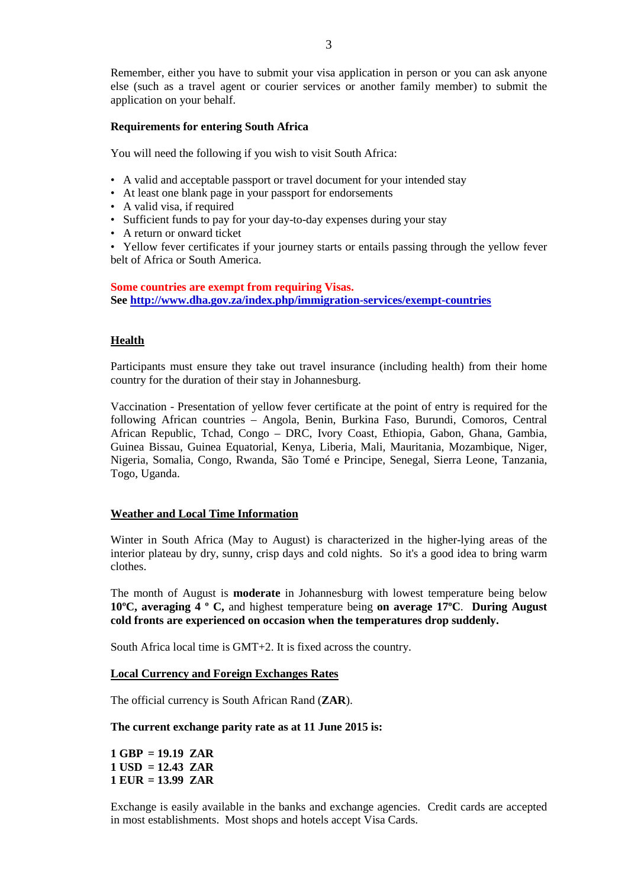Remember, either you have to submit your visa application in person or you can ask anyone else (such as a travel agent or courier services or another family member) to submit the application on your behalf.

#### **Requirements for entering South Africa**

You will need the following if you wish to visit South Africa:

- A valid and acceptable passport or travel document for your intended stay
- At least one blank page in your passport for endorsements
- A valid visa, if required
- Sufficient funds to pay for your day-to-day expenses during your stay
- A return or onward ticket

• Yellow fever certificates if your journey starts or entails passing through the yellow fever belt of Africa or South America.

**Some countries are exempt from requiring Visas. See<http://www.dha.gov.za/index.php/immigration-services/exempt-countries>**

#### **Health**

Participants must ensure they take out travel insurance (including health) from their home country for the duration of their stay in Johannesburg.

Vaccination - Presentation of yellow fever certificate at the point of entry is required for the following African countries – Angola, Benin, Burkina Faso, Burundi, Comoros, Central African Republic, Tchad, Congo – DRC, Ivory Coast, Ethiopia, Gabon, Ghana, Gambia, Guinea Bissau, Guinea Equatorial, Kenya, Liberia, Mali, Mauritania, Mozambique, Niger, Nigeria, Somalia, Congo, Rwanda, São Tomé e Principe, Senegal, Sierra Leone, Tanzania, Togo, Uganda.

#### **Weather and Local Time Information**

Winter in South Africa (May to August) is characterized in the higher-lying areas of the interior plateau by dry, sunny, crisp days and cold nights. So it's a good idea to bring warm clothes.

The month of August is **moderate** in Johannesburg with lowest temperature being below **10ºC, averaging 4 º C,** and highest temperature being **on average 17ºC**. **During August cold fronts are experienced on occasion when the temperatures drop suddenly.**

South Africa local time is GMT+2. It is fixed across the country.

#### **Local Currency and Foreign Exchanges Rates**

The official currency is South African Rand (**ZAR**).

#### **The current exchange parity rate as at 11 June 2015 is:**

**1 GBP = 19.19 ZAR 1 USD = 12.43 ZAR 1 EUR = 13.99 ZAR** 

Exchange is easily available in the banks and exchange agencies. Credit cards are accepted in most establishments. Most shops and hotels accept Visa Cards.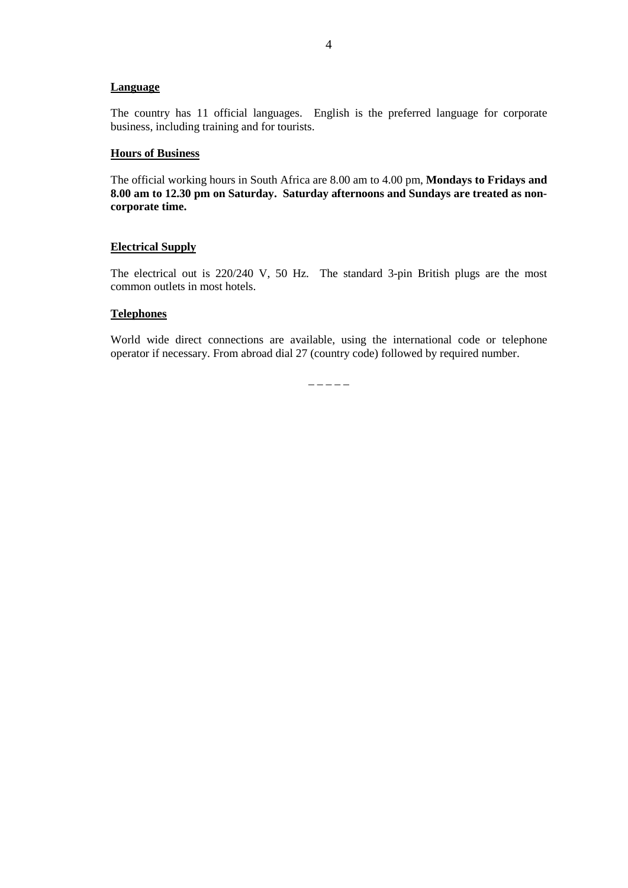#### **Language**

The country has 11 official languages. English is the preferred language for corporate business, including training and for tourists.

#### **Hours of Business**

The official working hours in South Africa are 8.00 am to 4.00 pm, **Mondays to Fridays and 8.00 am to 12.30 pm on Saturday. Saturday afternoons and Sundays are treated as noncorporate time.**

#### **Electrical Supply**

The electrical out is 220/240 V, 50 Hz. The standard 3-pin British plugs are the most common outlets in most hotels.

#### **Telephones**

World wide direct connections are available, using the international code or telephone operator if necessary. From abroad dial 27 (country code) followed by required number.

 $-$